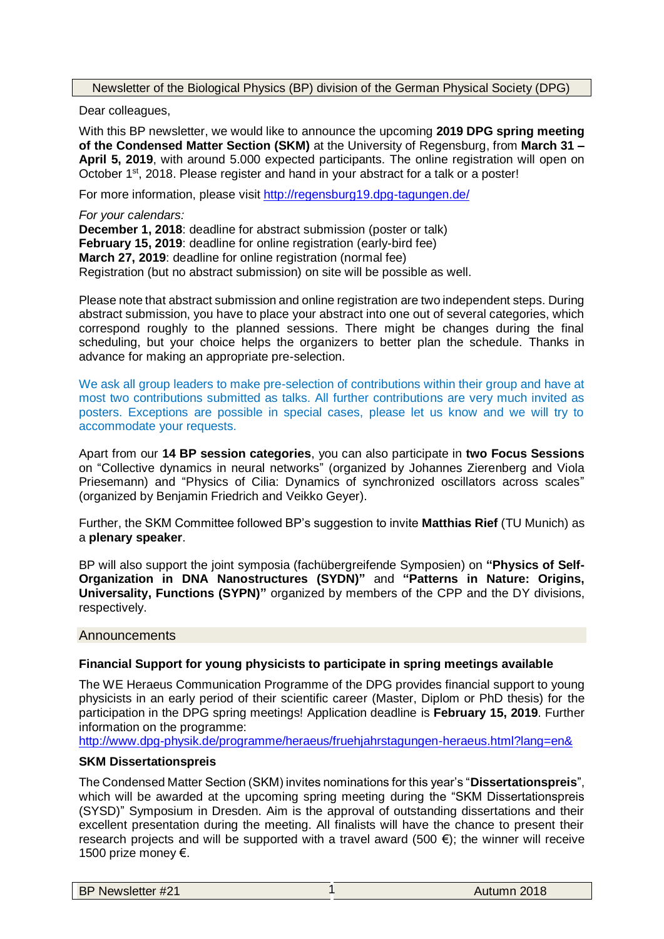Newsletter of the Biological Physics (BP) division of the German Physical Society (DPG)

Dear colleagues,

With this BP newsletter, we would like to announce the upcoming **2019 DPG spring meeting of the Condensed Matter Section (SKM)** at the University of Regensburg, from **March 31 – April 5, 2019**, with around 5.000 expected participants. The online registration will open on October 1<sup>st</sup>, 2018. Please register and hand in your abstract for a talk or a poster!

For more information, please visit <http://regensburg19.dpg-tagungen.de/>

*For your calendars:* **December 1, 2018**: deadline for abstract submission (poster or talk) **February 15, 2019**: deadline for online registration (early-bird fee) **March 27, 2019**: deadline for online registration (normal fee) Registration (but no abstract submission) on site will be possible as well.

Please note that abstract submission and online registration are two independent steps. During abstract submission, you have to place your abstract into one out of several categories, which correspond roughly to the planned sessions. There might be changes during the final scheduling, but your choice helps the organizers to better plan the schedule. Thanks in advance for making an appropriate pre-selection.

We ask all group leaders to make pre-selection of contributions within their group and have at most two contributions submitted as talks. All further contributions are very much invited as posters. Exceptions are possible in special cases, please let us know and we will try to accommodate your requests.

Apart from our **14 BP session categories**, you can also participate in **two Focus Sessions** on "Collective dynamics in neural networks" (organized by Johannes Zierenberg and Viola Priesemann) and "Physics of Cilia: Dynamics of synchronized oscillators across scales" (organized by Benjamin Friedrich and Veikko Geyer).

Further, the SKM Committee followed BP's suggestion to invite **Matthias Rief** (TU Munich) as a **plenary speaker**.

BP will also support the joint symposia (fachübergreifende Symposien) on **"Physics of Self-Organization in DNA Nanostructures (SYDN)"** and **"Patterns in Nature: Origins, Universality, Functions (SYPN)"** organized by members of the CPP and the DY divisions, respectively.

**Announcements** 

#### **Financial Support for young physicists to participate in spring meetings available**

The WE Heraeus Communication Programme of the DPG provides financial support to young physicists in an early period of their scientific career (Master, Diplom or PhD thesis) for the participation in the DPG spring meetings! Application deadline is **February 15, 2019**. Further information on the programme:

<http://www.dpg-physik.de/programme/heraeus/fruehjahrstagungen-heraeus.html?lang=en&>

#### **SKM Dissertationspreis**

The Condensed Matter Section (SKM) invites nominations for this year's "**Dissertationspreis**", which will be awarded at the upcoming spring meeting during the "SKM Dissertationspreis (SYSD)" Symposium in Dresden. Aim is the approval of outstanding dissertations and their excellent presentation during the meeting. All finalists will have the chance to present their research projects and will be supported with a travel award (500  $\epsilon$ ); the winner will receive 1500 prize money €.

| <b>BP Newsletter #21</b> | Autumn 2018 |
|--------------------------|-------------|
|                          |             |